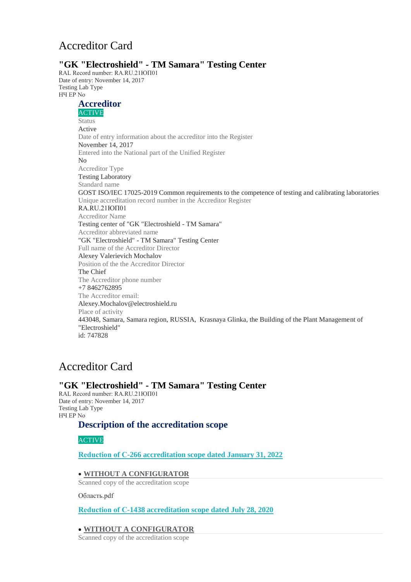# Accreditor Card

# **"GK "Electroshield" - TM Samara" Testing Center**

RAL Record number: RA.RU.21ЮП01 Date of entry: November 14, 2017 Testing Lab Type НЧ ЕР No

# **Accreditor**

ACTIVE Status Active Date of entry information about the accreditor into the Register November 14, 2017 Entered into the National part of the Unified Register No Accreditor Type Testing Laboratory Standard name GOST ISO/IEC 17025-2019 Common requirements to the competence of testing and calibrating laboratories Unique accreditation record number in the Accreditor Register RA.RU.21ЮП01 Accreditor Name Testing center of "GK "Electroshield - TM Samara" Accreditor abbreviated name "GK "Electroshield" - TM Samara" Testing Center Full name of the Accreditor Director Alexey Valerievich Mochalov Position of the the Accreditor Director The Chief The Accreditor phone number +7 8462762895 The Accreditor email: Alexey.Mochalov@electroshield.ru Place of activity 443048, Samara, Samara region, RUSSIA, Krasnaya Glinka, the Building of the Plant Management of "Electroshield" id: 747828

# Accreditor Card

## **"GK "Electroshield" - TM Samara" Testing Center**

RAL Record number: RA.RU.21ЮП01 Date of entry: November 14, 2017 Testing Lab Type НЧ ЕР No

## **Description of the accreditation scope**

ACTIVE

**[Reduction of С-266 accreditation scope dated January 31, 2022](https://pub.fsa.gov.ru/ral/view/16022/state-services?tab=8.97383)**

## **WITHOUT A [CONFIGURATOR](https://pub.fsa.gov.ru/)**

Scanned copy of the accreditation scope

Область.pdf

## **[Reduction of С-1438 accreditation scope dated July 28, 2020](https://pub.fsa.gov.ru/ral/view/16022/state-services?tab=8.92950)**

## **WITHOUT A [CONFIGURATOR](https://pub.fsa.gov.ru/)**

Scanned copy of the accreditation scope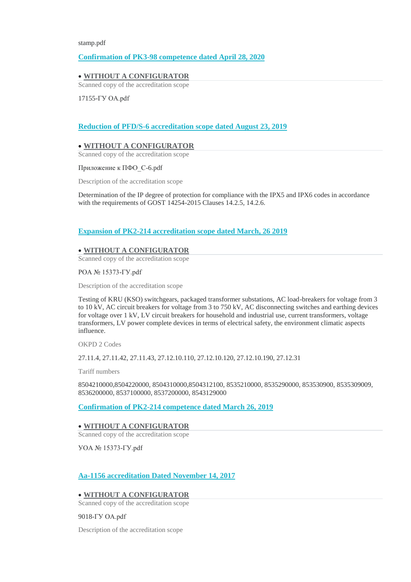stamp.pdf

## **[Confirmation of PK3-98 competence dated April 28, 2020](https://pub.fsa.gov.ru/ral/view/16022/state-services?tab=1.189055)**

## **WITHOUT A [CONFIGURATOR](https://pub.fsa.gov.ru/)**

Scanned copy of the accreditation scope

17155-ГУ ОА.pdf

## **[Reduction of PFD/S-6 accreditation scope dated August 23, 2019](https://pub.fsa.gov.ru/ral/view/16022/activity-control?tab=8.90102)**

## **WITHOUT A [CONFIGURATOR](https://pub.fsa.gov.ru/)**

Scanned copy of the accreditation scope

Приложение к ПФО\_С-6.pdf

Description of the accreditation scope

Determination of the IP degree of protection for compliance with the IPX5 and IPX6 codes in accordance with the requirements of GOST 14254-2015 Clauses 14.2.5, 14.2.6.

## **[Expansion of PK2-214 accreditation scope dated March, 26 2019](https://pub.fsa.gov.ru/ral/view/16022/state-services?tab=3.87096)**

#### **WITHOUT A [CONFIGURATOR](https://pub.fsa.gov.ru/)**

Scanned copy of the accreditation scope

РОА № 15373-ГУ.pdf

Description of the accreditation scope

Testing of KRU (KSO) switchgears, packaged transformer substations, AC load-breakers for voltage from 3 to 10 kV, AC circuit breakers for voltage from 3 to 750 kV, AC disconnecting switches and earthing devices for voltage over 1 kV, LV circuit breakers for household and industrial use, current transformers, voltage transformers, LV power complete devices in terms of electrical safety, the environment climatic aspects influence.

OKPD 2 Codes

27.11.4, 27.11.42, 27.11.43, 27.12.10.110, 27.12.10.120, 27.12.10.190, 27.12.31

Tariff numbers

8504210000,8504220000, 8504310000,8504312100, 8535210000, 8535290000, 853530900, 8535309009, 8536200000, 8537100000, 8537200000, 8543129000

**[Confirmation of PK2-214 competence dated March 26, 2019](https://pub.fsa.gov.ru/ral/view/16022/state-services?tab=1.184798)**

**WITHOUT A [CONFIGURATOR](https://pub.fsa.gov.ru/)**

Scanned copy of the accreditation scope

УОА № 15373-ГУ.pdf

## **[Aa-1156 accreditation Dated November 14, 2017](https://pub.fsa.gov.ru/ral/view/16022/accreditation)**

## **WITHOUT A [CONFIGURATOR](https://pub.fsa.gov.ru/)**

Scanned copy of the accreditation scope

9018-ГУ ОА.pdf

Description of the accreditation scope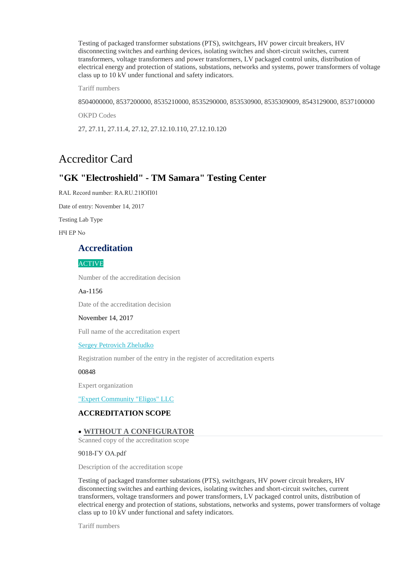Testing of packaged transformer substations (PTS), switchgears, HV power circuit breakers, HV disconnecting switches and earthing devices, isolating switches and short-circuit switches, current transformers, voltage transformers and power transformers, LV packaged control units, distribution of electrical energy and protection of stations, substations, networks and systems, power transformers of voltage class up to 10 kV under functional and safety indicators.

Tariff numbers

8504000000, 8537200000, 8535210000, 8535290000, 853530900, 8535309009, 8543129000, 8537100000

OKPD Codes

27, 27.11, 27.11.4, 27.12, 27.12.10.110, 27.12.10.120

# Accreditor Card

# **"GK "Electroshield" - TM Samara" Testing Center**

RAL Record number: RA.RU.21ЮП01

Date of entry: November 14, 2017

Testing Lab Type

НЧ ЕР No

## **Accreditation**

## ACTIVE

Number of the accreditation decision

Аа-1156

Date of the accreditation decision

November 14, 2017

Full name of the accreditation expert

[Sergey Petrovich Zheludko](https://pub.fsa.gov.ru/rea/view/828)

Registration number of the entry in the register of accreditation experts

#### 00848

Expert organization

["Expert Community "Eligos" LLC](https://pub.fsa.gov.ru/reo/view/39)

### **ACCREDITATION SCOPE**

#### **WITHOUT A [CONFIGURATOR](https://pub.fsa.gov.ru/)**

Scanned copy of the accreditation scope

9018-ГУ ОА.pdf

Description of the accreditation scope

Testing of packaged transformer substations (PTS), switchgears, HV power circuit breakers, HV disconnecting switches and earthing devices, isolating switches and short-circuit switches, current transformers, voltage transformers and power transformers, LV packaged control units, distribution of electrical energy and protection of stations, substations, networks and systems, power transformers of voltage class up to 10 kV under functional and safety indicators.

Tariff numbers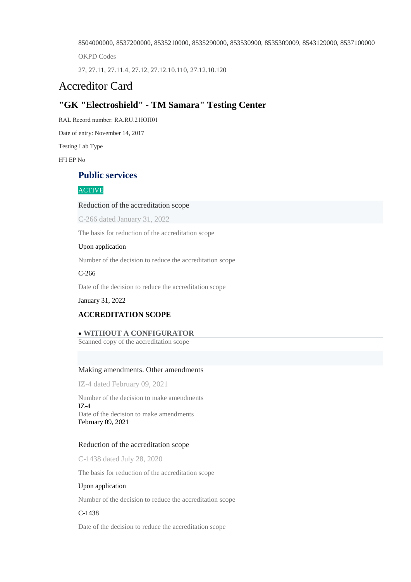8504000000, 8537200000, 8535210000, 8535290000, 853530900, 8535309009, 8543129000, 8537100000

OKPD Codes

27, 27.11, 27.11.4, 27.12, 27.12.10.110, 27.12.10.120

# Accreditor Card

# **"GK "Electroshield" - TM Samara" Testing Center**

RAL Record number: RA.RU.21ЮП01

Date of entry: November 14, 2017

Testing Lab Type

НЧ ЕР No

## **Public services**

## ACTIVE

#### Reduction of the accreditation scope

C-266 dated January 31, 2022

The basis for reduction of the accreditation scope

#### Upon application

Number of the decision to reduce the accreditation scope

#### C-266

Date of the decision to reduce the accreditation scope

January 31, 2022

## **ACCREDITATION SCOPE**

### **WITHOUT A [CONFIGURATOR](https://pub.fsa.gov.ru/)**

Scanned copy of the accreditation scope

#### Making amendments. Other amendments

IZ-4 dated February 09, 2021

Number of the decision to make amendments IZ-4 Date of the decision to make amendments February 09, 2021

#### Reduction of the accreditation scope

C-1438 dated July 28, 2020

The basis for reduction of the accreditation scope

#### Upon application

Number of the decision to reduce the accreditation scope

### C-1438

Date of the decision to reduce the accreditation scope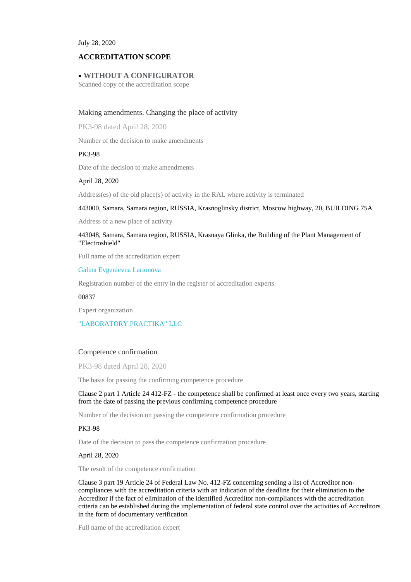July 28, 2020

## **ACCREDITATION SCOPE**

#### **WITHOUT A [CONFIGURATOR](https://pub.fsa.gov.ru/)**

Scanned copy of the accreditation scope

#### Making amendments. Changing the place of activity

PK3-98 dated April 28, 2020

Number of the decision to make amendments

#### PK3-98

Date of the decision to make amendments

#### April 28, 2020

Address(es) of the old place(s) of activity in the RAL where activity is terminated

#### 443000, Samara, Samara region, RUSSIA, Krasnoglinsky district, Moscow highway, 20, BUILDING 75A

Address of a new place of activity

#### 443048, Samara, Samara region, RUSSIA, Krasnaya Glinka, the Building of the Plant Management of "Electroshield"

Full name of the accreditation expert

[Galina Evgenievna Larionova](https://pub.fsa.gov.ru/rea/view/817)

Registration number of the entry in the register of accreditation experts

00837

Expert organization

#### ["LABORATORY PRACTIKA" LLC](https://pub.fsa.gov.ru/reo/view/27)

### Competence confirmation

PK3-98 dated April 28, 2020

The basis for passing the confirming competence procedure

Clause 2 part 1 Article 24 412-FZ - the competence shall be confirmed at least once every two years, starting from the date of passing the previous confirming competence procedure

Number of the decision on passing the competence confirmation procedure

#### PK3-98

Date of the decision to pass the competence confirmation procedure

#### April 28, 2020

The result of the competence confirmation

Clause 3 part 19 Article 24 of Federal Law No. 412-FZ concerning sending a list of Accreditor noncompliances with the accreditation criteria with an indication of the deadline for their elimination to the Accreditor if the fact of elimination of the identified Accreditor non-compliances with the accreditation criteria can be established during the implementation of federal state control over the activities of Accreditors in the form of documentary verification

Full name of the accreditation expert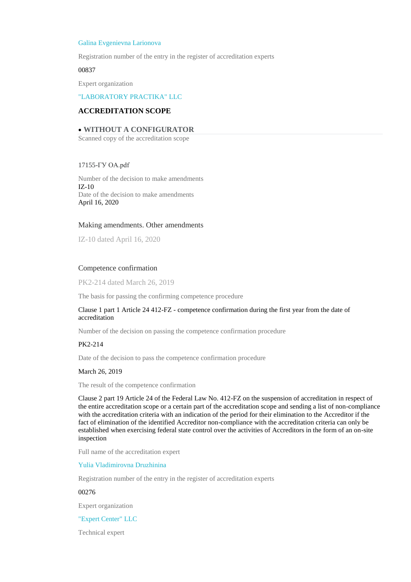#### [Galina Evgenievna Larionova](https://pub.fsa.gov.ru/rea/view/817)

Registration number of the entry in the register of accreditation experts

#### 00837

Expert organization

#### ["LABORATORY PRACTIKA" LLC](https://pub.fsa.gov.ru/reo/view/27)

## **ACCREDITATION SCOPE**

#### **WITHOUT A [CONFIGURATOR](https://pub.fsa.gov.ru/)**

Scanned copy of the accreditation scope

#### 17155-ГУ ОА.pdf

Number of the decision to make amendments IZ-10 Date of the decision to make amendments April 16, 2020

#### Making amendments. Other amendments

IZ-10 dated April 16, 2020

### Competence confirmation

PK2-214 dated March 26, 2019

The basis for passing the confirming competence procedure

#### Clause 1 part 1 Article 24 412-FZ - competence confirmation during the first year from the date of accreditation

Number of the decision on passing the competence confirmation procedure

### PK2-214

Date of the decision to pass the competence confirmation procedure

#### March 26, 2019

The result of the competence confirmation

Clause 2 part 19 Article 24 of the Federal Law No. 412-FZ on the suspension of accreditation in respect of the entire accreditation scope or a certain part of the accreditation scope and sending a list of non-compliance with the accreditation criteria with an indication of the period for their elimination to the Accreditor if the fact of elimination of the identified Accreditor non-compliance with the accreditation criteria can only be established when exercising federal state control over the activities of Accreditors in the form of an on-site inspection

Full name of the accreditation expert

#### [Yulia Vladimirovna Druzhinina](https://pub.fsa.gov.ru/rea/view/423)

Registration number of the entry in the register of accreditation experts

#### 00276

Expert organization

#### ["Expert Center" LLC](https://pub.fsa.gov.ru/reo/view/1832)

Technical expert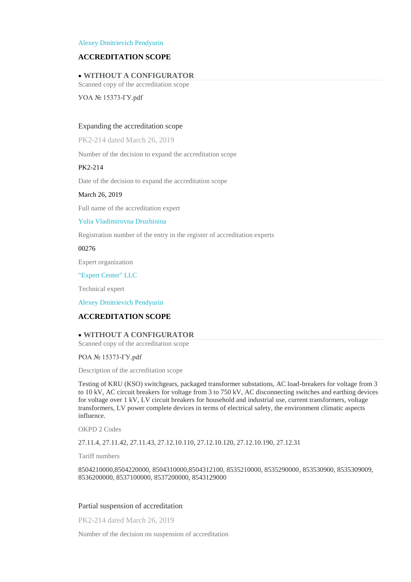#### [Alexey Dmitrievich Pendyurin](https://pub.fsa.gov.ru/rte/2199)

## **ACCREDITATION SCOPE**

#### **WITHOUT A [CONFIGURATOR](https://pub.fsa.gov.ru/)**

Scanned copy of the accreditation scope

УОА № 15373-ГУ.pdf

#### Expanding the accreditation scope

PK2-214 dated March 26, 2019

Number of the decision to expand the accreditation scope

#### PK2-214

Date of the decision to expand the accreditation scope

#### March 26, 2019

Full name of the accreditation expert

[Yulia Vladimirovna Druzhinina](https://pub.fsa.gov.ru/rea/view/423)

Registration number of the entry in the register of accreditation experts

#### 00276

Expert organization

["Expert Center" LLC](https://pub.fsa.gov.ru/reo/view/1832)

Technical expert

[Alexey Dmitrievich Pendyurin](https://pub.fsa.gov.ru/rte/2199)

## **ACCREDITATION SCOPE**

#### **WITHOUT A [CONFIGURATOR](https://pub.fsa.gov.ru/)**

Scanned copy of the accreditation scope

РОА № 15373-ГУ.pdf

Description of the accreditation scope

Testing of KRU (KSO) switchgears, packaged transformer substations, AC load-breakers for voltage from 3 to 10 kV, AC circuit breakers for voltage from 3 to 750 kV, AC disconnecting switches and earthing devices for voltage over 1 kV, LV circuit breakers for household and industrial use, current transformers, voltage transformers, LV power complete devices in terms of electrical safety, the environment climatic aspects influence.

OKPD 2 Codes

27.11.4, 27.11.42, 27.11.43, 27.12.10.110, 27.12.10.120, 27.12.10.190, 27.12.31

Tariff numbers

8504210000,8504220000, 8504310000,8504312100, 8535210000, 8535290000, 853530900, 8535309009, 8536200000, 8537100000, 8537200000, 8543129000

#### Partial suspension of accreditation

PK2-214 dated March 26, 2019

Number of the decision on suspension of accreditation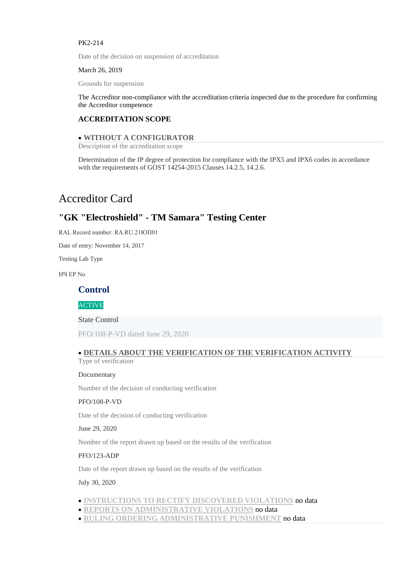#### PK2-214

Date of the decision on suspension of accreditation

#### March 26, 2019

Grounds for suspension

The Accreditor non-compliance with the accreditation criteria inspected due to the procedure for confirming the Accreditor competence

## **ACCREDITATION SCOPE**

#### **WITHOUT A [CONFIGURATOR](https://pub.fsa.gov.ru/)**

Description of the accreditation scope

Determination of the IP degree of protection for compliance with the IPX5 and IPX6 codes in accordance with the requirements of GOST 14254-2015 Clauses 14.2.5, 14.2.6.

# Accreditor Card

## **"GK "Electroshield" - TM Samara" Testing Center**

RAL Record number: RA.RU.21ЮП01

Date of entry: November 14, 2017

Testing Lab Type

НЧ ЕР No

## **Control**

#### **ACTIVE**

#### State Control

PFO/108-P-VD dated June 29, 2020

### **DETAILS ABOUT THE VERIFICATION OF THE [VERIFICATION](https://pub.fsa.gov.ru/) ACTIVITY** Type of verification

## Documentary

Number of the decision of conducting verification

#### PFO/108-P-VD

Date of the decision of conducting verification

June 29, 2020

Number of the report drawn up based on the results of the verification

#### PFO/123-ADP

Date of the report drawn up based on the results of the verification

#### July 30, 2020

- **[INSTRUCTIONS](https://pub.fsa.gov.ru/) TO RECTIFY DISCOVERED VIOLATIONS** no data
- **REPORTS ON [ADMINISTRATIVE](https://pub.fsa.gov.ru/) VIOLATIONS** no data
- **RULING ORDERING [ADMINISTRATIVE](https://pub.fsa.gov.ru/) PUNISHMENT** no data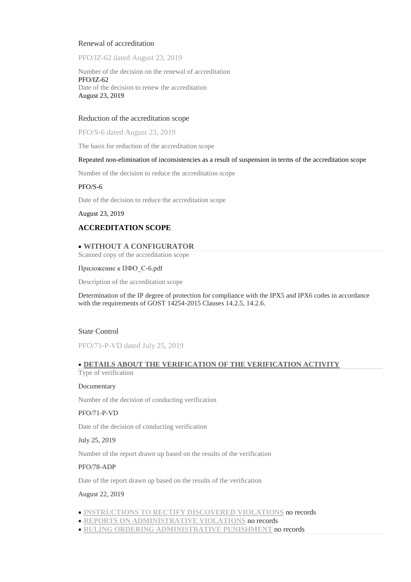### Renewal of accreditation

PFO/IZ-62 dated August 23, 2019

Number of the decision on the renewal of accreditation PFO/IZ-62 Date of the decision to renew the accreditation August 23, 2019

#### Reduction of the accreditation scope

PFO/S-6 dated August 23, 2019

The basis for reduction of the accreditation scope

#### Repeated non-elimination of inconsistencies as a result of suspension in terms of the accreditation scope

Number of the decision to reduce the accreditation scope

#### PFO/S-6

Date of the decision to reduce the accreditation scope

August 23, 2019

## **ACCREDITATION SCOPE**

#### **WITHOUT A [CONFIGURATOR](https://pub.fsa.gov.ru/)**

Scanned copy of the accreditation scope

#### Приложение к ПФО\_С-6.pdf

Description of the accreditation scope

Determination of the IP degree of protection for compliance with the IPX5 and IPX6 codes in accordance with the requirements of GOST 14254-2015 Clauses 14.2.5, 14.2.6.

### State Control

PFO/71-P-VD dated July 25, 2019

#### **DETAILS ABOUT THE VERIFICATION OF THE [VERIFICATION](https://pub.fsa.gov.ru/) ACTIVITY**

### Type of verification

#### Documentary

Number of the decision of conducting verification

#### PFO/71-P-VD

Date of the decision of conducting verification

#### July 25, 2019

Number of the report drawn up based on the results of the verification

#### PFO/78-ADP

Date of the report drawn up based on the results of the verification

#### August 22, 2019

- **[INSTRUCTIONS](https://pub.fsa.gov.ru/) TO RECTIFY DISCOVERED VIOLATIONS** no records
- **REPORTS ON [ADMINISTRATIVE](https://pub.fsa.gov.ru/) VIOLATIONS** no records
- **RULING ORDERING [ADMINISTRATIVE](https://pub.fsa.gov.ru/) PUNISHMENT** no records